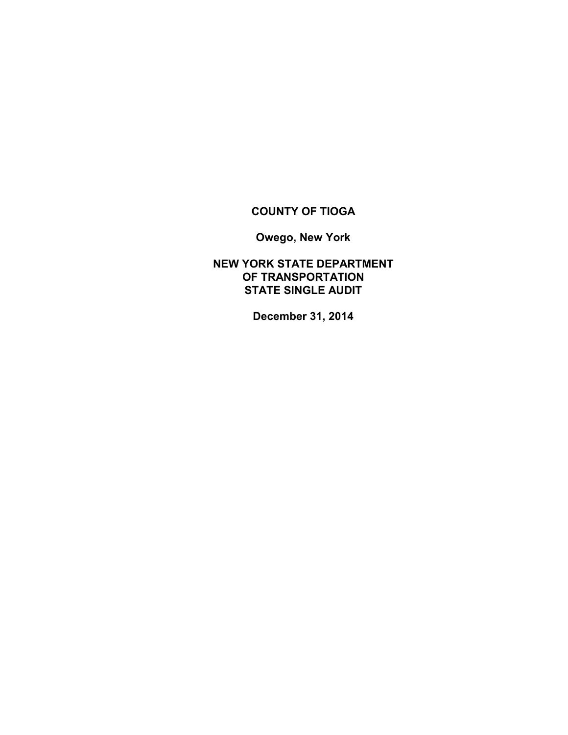## **COUNTY OF TIOGA**

**Owego, New York**

**NEW YORK STATE DEPARTMENT OF TRANSPORTATION STATE SINGLE AUDIT**

**December 31, 2014**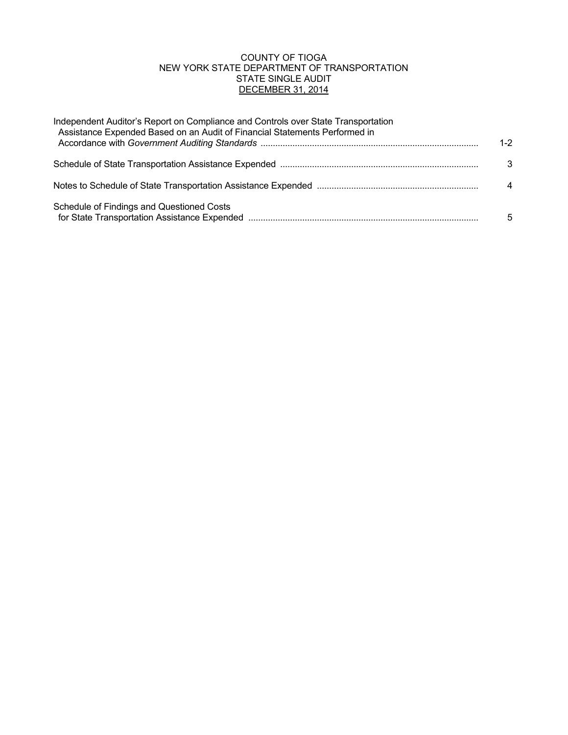## COUNTY OF TIOGA NEW YORK STATE DEPARTMENT OF TRANSPORTATION STATE SINGLE AUDIT DECEMBER 31, 2014

| Independent Auditor's Report on Compliance and Controls over State Transportation<br>Assistance Expended Based on an Audit of Financial Statements Performed in | $1-2$                  |
|-----------------------------------------------------------------------------------------------------------------------------------------------------------------|------------------------|
|                                                                                                                                                                 | 3                      |
|                                                                                                                                                                 | $\boldsymbol{\Lambda}$ |
| Schedule of Findings and Questioned Costs                                                                                                                       | 5                      |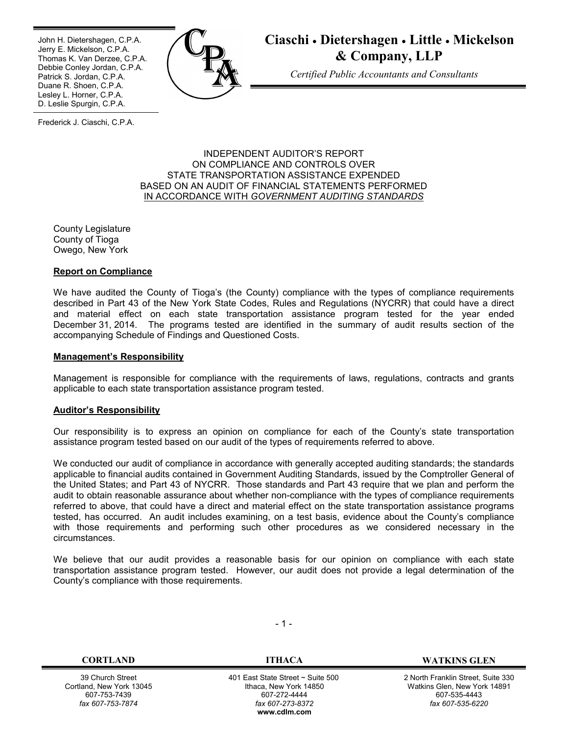Ī John H. Dietershagen, C.P.A. Jerry E. Mickelson, C.P.A. Thomas K. Van Derzee, C.P.A. Debbie Conley Jordan, C.P.A. Patrick S. Jordan, C.P.A. Duane R. Shoen, C.P.A. Lesley L. Horner, C.P.A. D. Leslie Spurgin, C.P.A.



# **Ciaschi Dietershagen Little Mickelson & Company, LLP**

*Certified Public Accountants and Consultants*

Frederick J. Ciaschi, C.P.A.

#### INDEPENDENT AUDITOR'S REPORT ON COMPLIANCE AND CONTROLS OVER STATE TRANSPORTATION ASSISTANCE EXPENDED BASED ON AN AUDIT OF FINANCIAL STATEMENTS PERFORMED IN ACCORDANCE WITH *GOVERNMENT AUDITING STANDARDS*

County Legislature County of Tioga Owego, New York

## **Report on Compliance**

We have audited the County of Tioga's (the County) compliance with the types of compliance requirements described in Part 43 of the New York State Codes, Rules and Regulations (NYCRR) that could have a direct and material effect on each state transportation assistance program tested for the year ended December 31, 2014. The programs tested are identified in the summary of audit results section of the accompanying Schedule of Findings and Questioned Costs.

## **Management's Responsibility**

Management is responsible for compliance with the requirements of laws, regulations, contracts and grants applicable to each state transportation assistance program tested.

#### **Auditor's Responsibility**

Our responsibility is to express an opinion on compliance for each of the County's state transportation assistance program tested based on our audit of the types of requirements referred to above.

We conducted our audit of compliance in accordance with generally accepted auditing standards; the standards applicable to financial audits contained in Government Auditing Standards, issued by the Comptroller General of the United States; and Part 43 of NYCRR. Those standards and Part 43 require that we plan and perform the audit to obtain reasonable assurance about whether non-compliance with the types of compliance requirements referred to above, that could have a direct and material effect on the state transportation assistance programs tested, has occurred. An audit includes examining, on a test basis, evidence about the County's compliance with those requirements and performing such other procedures as we considered necessary in the circumstances.

We believe that our audit provides a reasonable basis for our opinion on compliance with each state transportation assistance program tested. However, our audit does not provide a legal determination of the County's compliance with those requirements.

39 Church Street Cortland, New York 13045 607-753-7439 *fax 607-753-7874*

- 1 -

 401 East State Street ~ Suite 500 Ithaca, New York 14850 607-272-4444 *fax 607-273-8372* **www.cdlm.com**

**CORTLAND ITHACA WATKINS GLEN**

2 North Franklin Street, Suite 330 Watkins Glen, New York 14891 607-535-4443 *fax 607-535-6220*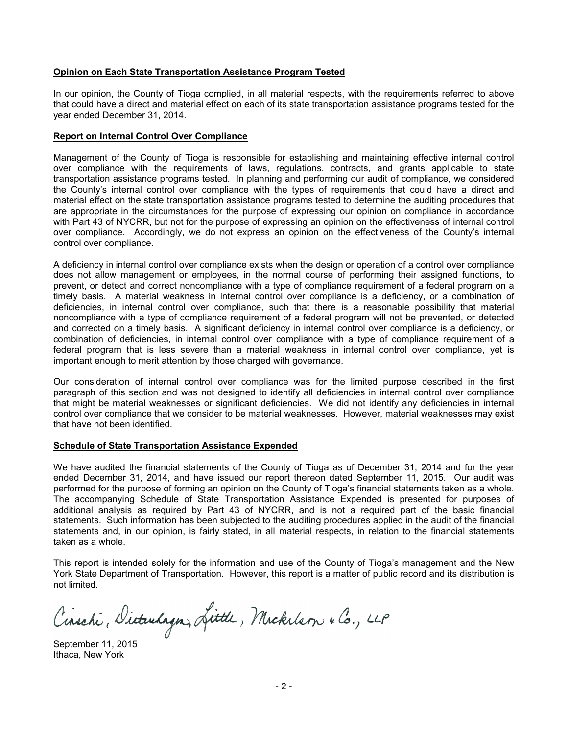### **Opinion on Each State Transportation Assistance Program Tested**

In our opinion, the County of Tioga complied, in all material respects, with the requirements referred to above that could have a direct and material effect on each of its state transportation assistance programs tested for the year ended December 31, 2014.

## **Report on Internal Control Over Compliance**

Management of the County of Tioga is responsible for establishing and maintaining effective internal control over compliance with the requirements of laws, regulations, contracts, and grants applicable to state transportation assistance programs tested. In planning and performing our audit of compliance, we considered the County's internal control over compliance with the types of requirements that could have a direct and material effect on the state transportation assistance programs tested to determine the auditing procedures that are appropriate in the circumstances for the purpose of expressing our opinion on compliance in accordance with Part 43 of NYCRR, but not for the purpose of expressing an opinion on the effectiveness of internal control over compliance. Accordingly, we do not express an opinion on the effectiveness of the County's internal control over compliance.

A deficiency in internal control over compliance exists when the design or operation of a control over compliance does not allow management or employees, in the normal course of performing their assigned functions, to prevent, or detect and correct noncompliance with a type of compliance requirement of a federal program on a timely basis. A material weakness in internal control over compliance is a deficiency, or a combination of deficiencies, in internal control over compliance, such that there is a reasonable possibility that material noncompliance with a type of compliance requirement of a federal program will not be prevented, or detected and corrected on a timely basis. A significant deficiency in internal control over compliance is a deficiency, or combination of deficiencies, in internal control over compliance with a type of compliance requirement of a federal program that is less severe than a material weakness in internal control over compliance, yet is important enough to merit attention by those charged with governance.

Our consideration of internal control over compliance was for the limited purpose described in the first paragraph of this section and was not designed to identify all deficiencies in internal control over compliance that might be material weaknesses or significant deficiencies. We did not identify any deficiencies in internal control over compliance that we consider to be material weaknesses. However, material weaknesses may exist that have not been identified.

#### **Schedule of State Transportation Assistance Expended**

We have audited the financial statements of the County of Tioga as of December 31, 2014 and for the year ended December 31, 2014, and have issued our report thereon dated September 11, 2015. Our audit was performed for the purpose of forming an opinion on the County of Tioga's financial statements taken as a whole. The accompanying Schedule of State Transportation Assistance Expended is presented for purposes of additional analysis as required by Part 43 of NYCRR, and is not a required part of the basic financial statements. Such information has been subjected to the auditing procedures applied in the audit of the financial statements and, in our opinion, is fairly stated, in all material respects, in relation to the financial statements taken as a whole.

This report is intended solely for the information and use of the County of Tioga's management and the New York State Department of Transportation. However, this report is a matter of public record and its distribution is not limited.

Cinschi, Dicturlagn, Little, Mickelson & Co., LLP

September 11, 2015 Ithaca, New York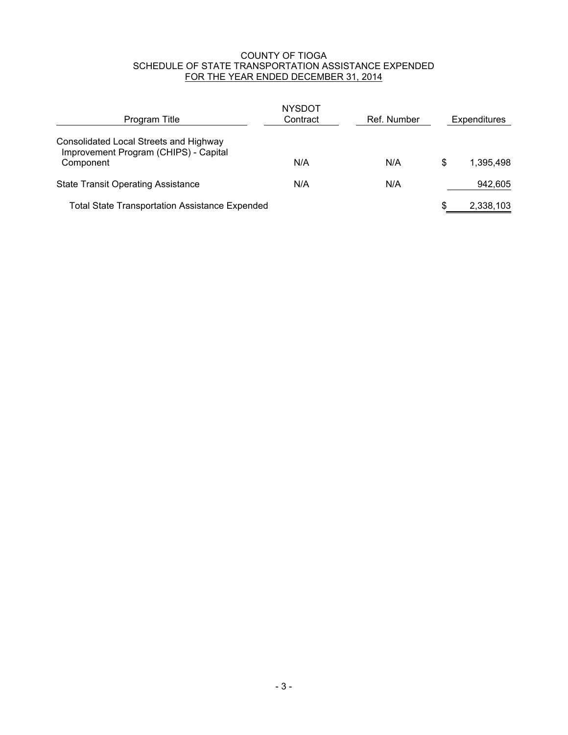## COUNTY OF TIOGA SCHEDULE OF STATE TRANSPORTATION ASSISTANCE EXPENDED FOR THE YEAR ENDED DECEMBER 31, 2014

| Program Title                                                                                | <b>NYSDOT</b><br>Contract | Ref. Number |   | Expenditures |
|----------------------------------------------------------------------------------------------|---------------------------|-------------|---|--------------|
| Consolidated Local Streets and Highway<br>Improvement Program (CHIPS) - Capital<br>Component | N/A                       | N/A         | S | 1.395.498    |
| <b>State Transit Operating Assistance</b>                                                    | N/A                       | N/A         |   | 942,605      |
| <b>Total State Transportation Assistance Expended</b>                                        |                           |             | S | 2,338,103    |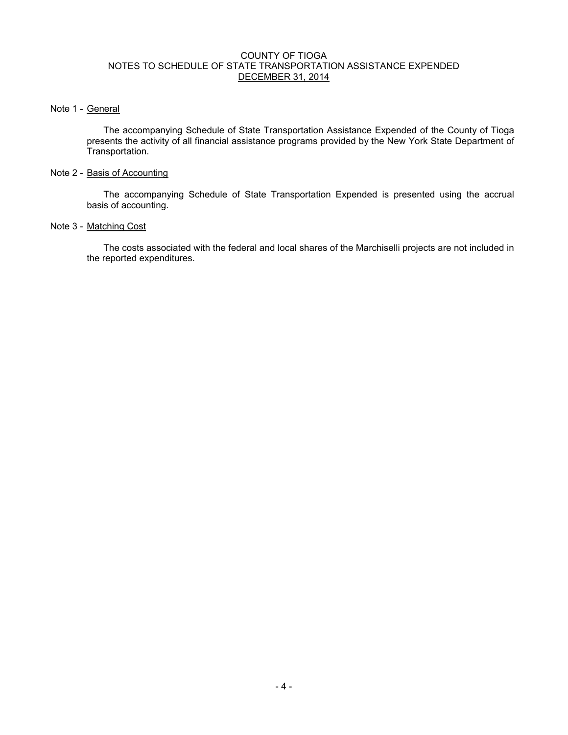## COUNTY OF TIOGA NOTES TO SCHEDULE OF STATE TRANSPORTATION ASSISTANCE EXPENDED DECEMBER 31, 2014

## Note 1 - General

The accompanying Schedule of State Transportation Assistance Expended of the County of Tioga presents the activity of all financial assistance programs provided by the New York State Department of Transportation.

## Note 2 - Basis of Accounting

The accompanying Schedule of State Transportation Expended is presented using the accrual basis of accounting.

## Note 3 - Matching Cost

The costs associated with the federal and local shares of the Marchiselli projects are not included in the reported expenditures.